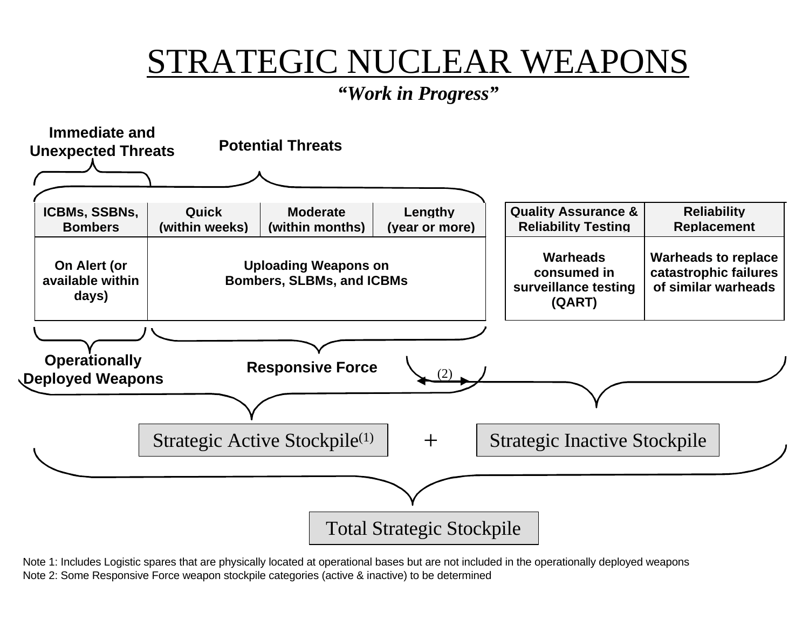## STRATEGIC NUCLEAR WEAPONS

*"Work in Progress"*



1 Note 2: Some Responsive Force weapon stockpile categories (active & inactive) to be determined Note 1: Includes Logistic spares that are physically located at operational bases but are not included in the operationally deployed weapons